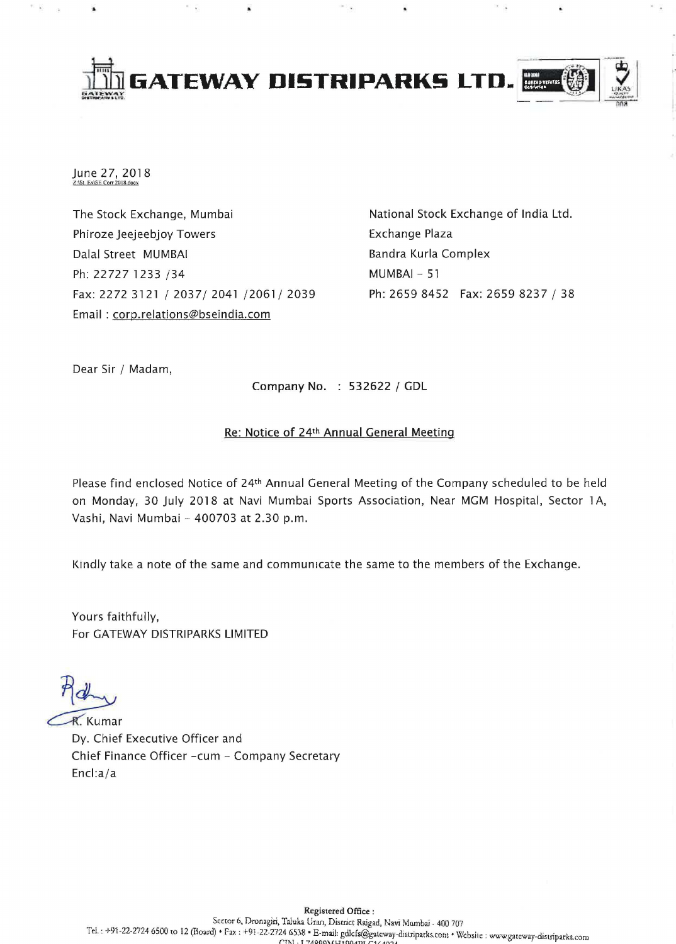

June 27, 2018

The Stock Exchange, Mumbai Phiroze Jeejeebjoy Towers Dalal Street MUMBAI Ph: 22727 1233 /34 Fax: 2272 3121/2037/2041/2061/2039 Email: corp.relations@bseindia.com

National Stock Exchange of India Ltd. Exchange Plaza Bandra Kurla Complex MUMBAI - 51 Ph: 2659 8452 Fax: 2659 8237 / 38

Dear Sir / Madam,

Company No. 532622 / GDL

# Re: Notice of 24th Annual General Meeting

Please find enclosed Notice of 24th Annual General Meeting of the Company scheduled to be held on Monday, 30 July 2018 at Navi Mumbai Sports Association, Near MGM Hospital, Sector 1 A, Vashi, Navi Mumbai - 400703 at 2.30 p.m.

Kindly take a note of the same and communicate the same to the members of the Exchange.

Yours faithfully, For GATEWAY DISTRIPARKS LIMITED

**R.** Kumar Dy. Chief Executive Officer and Chief Finance Officer -cum - Company Secretary Encl:a/a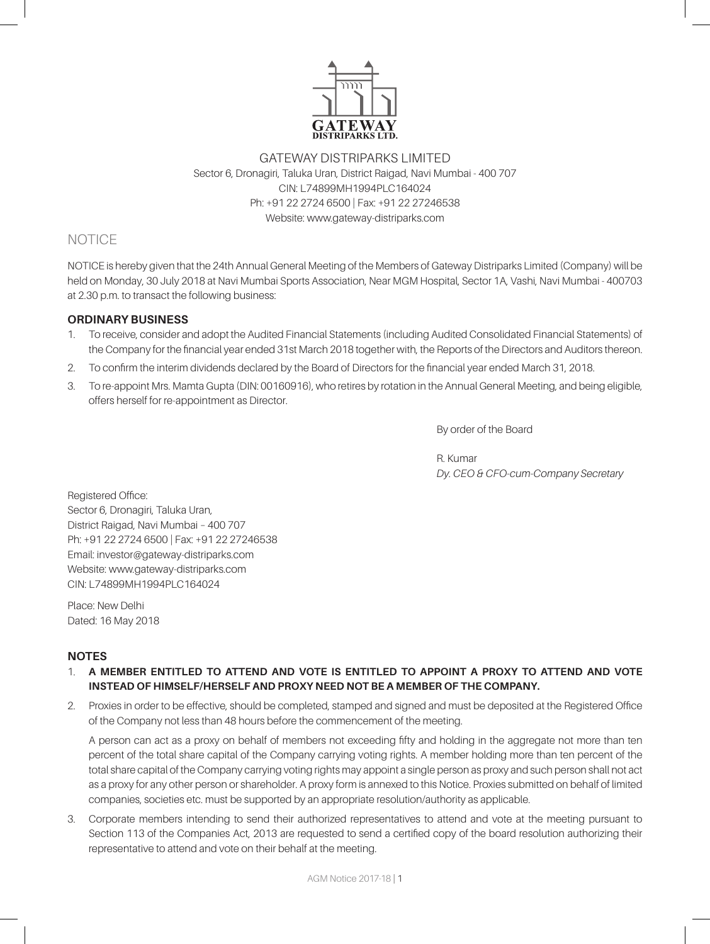

### GATEWAY DISTRIPARKS LIMITED Sector 6, Dronagiri, Taluka Uran, District Raigad, Navi Mumbai - 400 707 CIN: L74899MH1994PLC164024 Ph: +91 22 2724 6500 | Fax: +91 22 27246538 Website: www.gateway-distriparks.com

# NOTICE

NOTICE is hereby given that the 24th Annual General Meeting of the Members of Gateway Distriparks Limited (Company) will be held on Monday, 30 July 2018 at Navi Mumbai Sports Association, Near MGM Hospital, Sector 1A, Vashi, Navi Mumbai - 400703 at 2.30 p.m. to transact the following business:

### **ORDINARY BUSINESS**

- 1. To receive, consider and adopt the Audited Financial Statements (including Audited Consolidated Financial Statements) of the Company for the financial year ended 31st March 2018 together with, the Reports of the Directors and Auditors thereon.
- 2. To confirm the interim dividends declared by the Board of Directors for the financial year ended March 31, 2018.
- 3. To re-appoint Mrs. Mamta Gupta (DIN: 00160916), who retires by rotation in the Annual General Meeting, and being eligible, offers herself for re-appointment as Director.

By order of the Board

R. Kumar *Dy. CEO & CFO-cum-Company Secretary*

Registered Office: Sector 6, Dronagiri, Taluka Uran, District Raigad, Navi Mumbai – 400 707 Ph: +91 22 2724 6500 | Fax: +91 22 27246538 Email: investor@gateway-distriparks.com Website: www.gateway-distriparks.com CIN: L74899MH1994PLC164024

Place: New Delhi Dated: 16 May 2018

# **NOTES**

- 1. **A MEMBER ENTITLED TO ATTEND AND VOTE IS ENTITLED TO APPOINT A PROXY TO ATTEND AND VOTE INSTEAD OF HIMSELF/HERSELF AND PROXY NEED NOT BE A MEMBER OF THE COMPANY.**
- 2. Proxies in order to be effective, should be completed, stamped and signed and must be deposited at the Registered Office of the Company not less than 48 hours before the commencement of the meeting.

A person can act as a proxy on behalf of members not exceeding fifty and holding in the aggregate not more than ten percent of the total share capital of the Company carrying voting rights. A member holding more than ten percent of the total share capital of the Company carrying voting rights may appoint a single person as proxy and such person shall not act as a proxy for any other person or shareholder. A proxy form is annexed to this Notice. Proxies submitted on behalf of limited companies, societies etc. must be supported by an appropriate resolution/authority as applicable.

3. Corporate members intending to send their authorized representatives to attend and vote at the meeting pursuant to Section 113 of the Companies Act, 2013 are requested to send a certified copy of the board resolution authorizing their representative to attend and vote on their behalf at the meeting.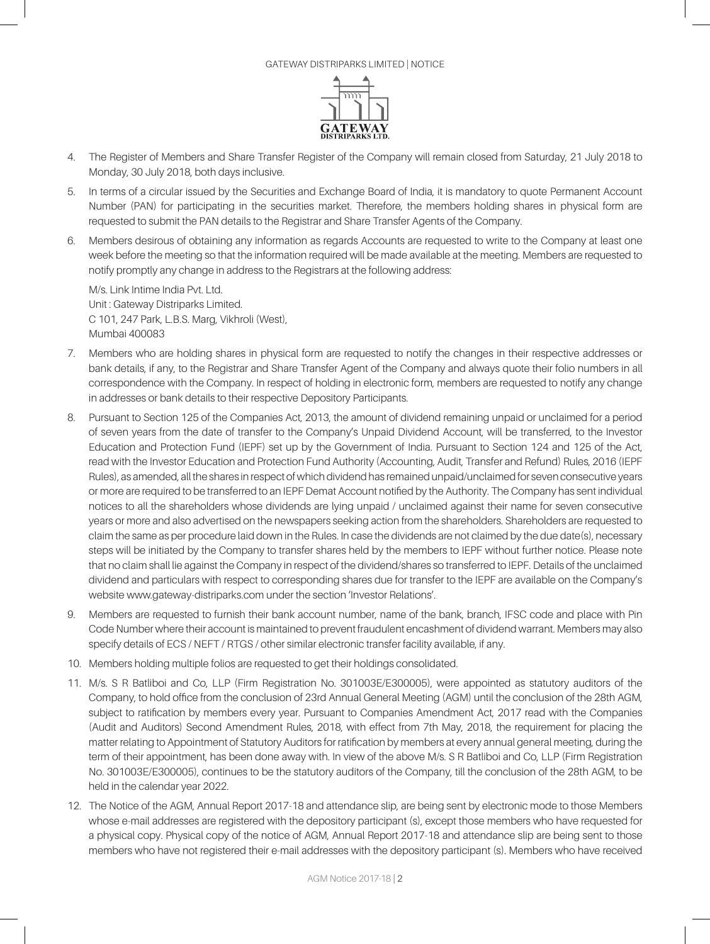

- 4. The Register of Members and Share Transfer Register of the Company will remain closed from Saturday, 21 July 2018 to Monday, 30 July 2018, both days inclusive.
- 5. In terms of a circular issued by the Securities and Exchange Board of India, it is mandatory to quote Permanent Account Number (PAN) for participating in the securities market. Therefore, the members holding shares in physical form are requested to submit the PAN details to the Registrar and Share Transfer Agents of the Company.
- 6. Members desirous of obtaining any information as regards Accounts are requested to write to the Company at least one week before the meeting so that the information required will be made available at the meeting. Members are requested to notify promptly any change in address to the Registrars at the following address:

M/s. Link Intime India Pvt. Ltd. Unit : Gateway Distriparks Limited. C 101, 247 Park, L.B.S. Marg, Vikhroli (West), Mumbai 400083

- 7. Members who are holding shares in physical form are requested to notify the changes in their respective addresses or bank details, if any, to the Registrar and Share Transfer Agent of the Company and always quote their folio numbers in all correspondence with the Company. In respect of holding in electronic form, members are requested to notify any change in addresses or bank details to their respective Depository Participants.
- 8. Pursuant to Section 125 of the Companies Act, 2013, the amount of dividend remaining unpaid or unclaimed for a period of seven years from the date of transfer to the Company's Unpaid Dividend Account, will be transferred, to the Investor Education and Protection Fund (IEPF) set up by the Government of India. Pursuant to Section 124 and 125 of the Act, read with the Investor Education and Protection Fund Authority (Accounting, Audit, Transfer and Refund) Rules, 2016 (IEPF Rules), as amended, all the shares in respect of which dividend has remained unpaid/unclaimed for seven consecutive years or more are required to be transferred to an IEPF Demat Account notified by the Authority. The Company has sent individual notices to all the shareholders whose dividends are lying unpaid / unclaimed against their name for seven consecutive years or more and also advertised on the newspapers seeking action from the shareholders. Shareholders are requested to claim the same as per procedure laid down in the Rules. In case the dividends are not claimed by the due date(s), necessary steps will be initiated by the Company to transfer shares held by the members to IEPF without further notice. Please note that no claim shall lie against the Company in respect of the dividend/shares so transferred to IEPF. Details of the unclaimed dividend and particulars with respect to corresponding shares due for transfer to the IEPF are available on the Company's website www.gateway-distriparks.com under the section 'Investor Relations'.
- 9. Members are requested to furnish their bank account number, name of the bank, branch, IFSC code and place with Pin Code Number where their account is maintained to prevent fraudulent encashment of dividend warrant. Members may also specify details of ECS / NEFT / RTGS / other similar electronic transfer facility available, if any.
- 10. Members holding multiple folios are requested to get their holdings consolidated.
- 11. M/s. S R Batliboi and Co, LLP (Firm Registration No. 301003E/E300005), were appointed as statutory auditors of the Company, to hold office from the conclusion of 23rd Annual General Meeting (AGM) until the conclusion of the 28th AGM, subject to ratification by members every year. Pursuant to Companies Amendment Act, 2017 read with the Companies (Audit and Auditors) Second Amendment Rules, 2018, with effect from 7th May, 2018, the requirement for placing the matter relating to Appointment of Statutory Auditors for ratification by members at every annual general meeting, during the term of their appointment, has been done away with. In view of the above M/s. S R Batliboi and Co, LLP (Firm Registration No. 301003E/E300005), continues to be the statutory auditors of the Company, till the conclusion of the 28th AGM, to be held in the calendar year 2022.
- 12. The Notice of the AGM, Annual Report 2017-18 and attendance slip, are being sent by electronic mode to those Members whose e-mail addresses are registered with the depository participant (s), except those members who have requested for a physical copy. Physical copy of the notice of AGM, Annual Report 2017-18 and attendance slip are being sent to those members who have not registered their e-mail addresses with the depository participant (s). Members who have received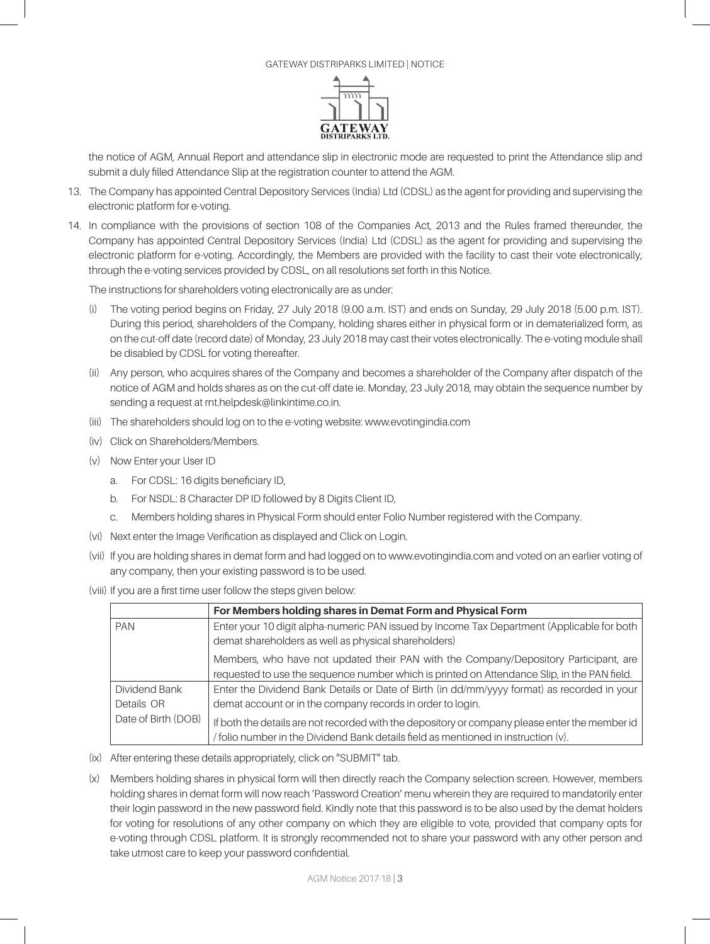

the notice of AGM, Annual Report and attendance slip in electronic mode are requested to print the Attendance slip and submit a duly filled Attendance Slip at the registration counter to attend the AGM.

- 13. The Company has appointed Central Depository Services (India) Ltd (CDSL) as the agent for providing and supervising the electronic platform for e-voting.
- 14. In compliance with the provisions of section 108 of the Companies Act, 2013 and the Rules framed thereunder, the Company has appointed Central Depository Services (India) Ltd (CDSL) as the agent for providing and supervising the electronic platform for e-voting. Accordingly, the Members are provided with the facility to cast their vote electronically, through the e-voting services provided by CDSL, on all resolutions set forth in this Notice.

The instructions for shareholders voting electronically are as under:

- (i) The voting period begins on Friday, 27 July 2018 (9.00 a.m. IST) and ends on Sunday, 29 July 2018 (5.00 p.m. IST). During this period, shareholders of the Company, holding shares either in physical form or in dematerialized form, as on the cut-off date (record date) of Monday, 23 July 2018 may cast their votes electronically. The e-voting module shall be disabled by CDSL for voting thereafter.
- (ii) Any person, who acquires shares of the Company and becomes a shareholder of the Company after dispatch of the notice of AGM and holds shares as on the cut-off date ie. Monday, 23 July 2018, may obtain the sequence number by sending a request at rnt.helpdesk@linkintime.co.in.
- (iii) The shareholders should log on to the e-voting website: www.evotingindia.com
- (iv) Click on Shareholders/Members.
- (v) Now Enter your User ID
	- a. For CDSL: 16 digits beneficiary ID,
	- b. For NSDL: 8 Character DP ID followed by 8 Digits Client ID,
	- c. Members holding shares in Physical Form should enter Folio Number registered with the Company.
- (vi) Next enter the Image Verification as displayed and Click on Login.
- (vii) If you are holding shares in demat form and had logged on to www.evotingindia.com and voted on an earlier voting of any company, then your existing password is to be used.
- (viii) If you are a first time user follow the steps given below:

|                     | For Members holding shares in Demat Form and Physical Form                                     |  |  |
|---------------------|------------------------------------------------------------------------------------------------|--|--|
| <b>PAN</b>          | Enter your 10 digit alpha-numeric PAN issued by Income Tax Department (Applicable for both     |  |  |
|                     | demat shareholders as well as physical shareholders)                                           |  |  |
|                     | Members, who have not updated their PAN with the Company/Depository Participant, are           |  |  |
|                     | requested to use the sequence number which is printed on Attendance Slip, in the PAN field.    |  |  |
| Dividend Bank       | Enter the Dividend Bank Details or Date of Birth (in dd/mm/yyyy format) as recorded in your    |  |  |
| Details OR          | demat account or in the company records in order to login.                                     |  |  |
| Date of Birth (DOB) | If both the details are not recorded with the depository or company please enter the member id |  |  |
|                     | / folio number in the Dividend Bank details field as mentioned in instruction (v).             |  |  |

- (ix) After entering these details appropriately, click on "SUBMIT" tab.
- (x) Members holding shares in physical form will then directly reach the Company selection screen. However, members holding shares in demat form will now reach 'Password Creation' menu wherein they are required to mandatorily enter their login password in the new password field. Kindly note that this password is to be also used by the demat holders for voting for resolutions of any other company on which they are eligible to vote, provided that company opts for e-voting through CDSL platform. It is strongly recommended not to share your password with any other person and take utmost care to keep your password confidential.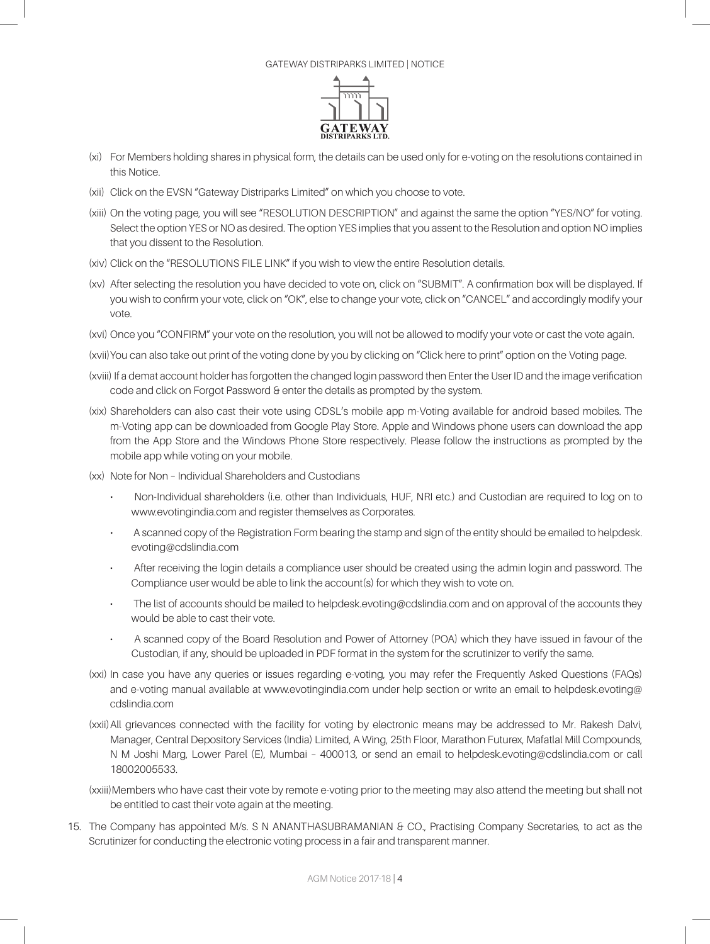

- (xi) For Members holding shares in physical form, the details can be used only for e-voting on the resolutions contained in this Notice.
- (xii) Click on the EVSN "Gateway Distriparks Limited" on which you choose to vote.
- (xiii) On the voting page, you will see "RESOLUTION DESCRIPTION" and against the same the option "YES/NO" for voting. Select the option YES or NO as desired. The option YES implies that you assent to the Resolution and option NO implies that you dissent to the Resolution.
- (xiv) Click on the "RESOLUTIONS FILE LINK" if you wish to view the entire Resolution details.
- (xv) After selecting the resolution you have decided to vote on, click on "SUBMIT". A confirmation box will be displayed. If you wish to confirm your vote, click on "OK", else to change your vote, click on "CANCEL" and accordingly modify your vote.
- (xvi) Once you "CONFIRM" your vote on the resolution, you will not be allowed to modify your vote or cast the vote again.
- (xvii) You can also take out print of the voting done by you by clicking on "Click here to print" option on the Voting page.
- (xviii) If a demat account holder has forgotten the changed login password then Enter the User ID and the image verification code and click on Forgot Password & enter the details as prompted by the system.
- (xix) Shareholders can also cast their vote using CDSL's mobile app m-Voting available for android based mobiles. The m-Voting app can be downloaded from Google Play Store. Apple and Windows phone users can download the app from the App Store and the Windows Phone Store respectively. Please follow the instructions as prompted by the mobile app while voting on your mobile.
- (xx) Note for Non Individual Shareholders and Custodians
	- Non-Individual shareholders (i.e. other than Individuals, HUF, NRI etc.) and Custodian are required to log on to www.evotingindia.com and register themselves as Corporates.
	- A scanned copy of the Registration Form bearing the stamp and sign of the entity should be emailed to helpdesk. evoting@cdslindia.com
	- After receiving the login details a compliance user should be created using the admin login and password. The Compliance user would be able to link the account(s) for which they wish to vote on.
	- The list of accounts should be mailed to helpdesk.evoting@cdslindia.com and on approval of the accounts they would be able to cast their vote.
	- A scanned copy of the Board Resolution and Power of Attorney (POA) which they have issued in favour of the Custodian, if any, should be uploaded in PDF format in the system for the scrutinizer to verify the same.
- (xxi) In case you have any queries or issues regarding e-voting, you may refer the Frequently Asked Questions (FAQs) and e-voting manual available at www.evotingindia.com under help section or write an email to helpdesk.evoting@ cdslindia.com
- (xxii)All grievances connected with the facility for voting by electronic means may be addressed to Mr. Rakesh Dalvi, Manager, Central Depository Services (India) Limited, A Wing, 25th Floor, Marathon Futurex, Mafatlal Mill Compounds, N M Joshi Marg, Lower Parel (E), Mumbai – 400013, or send an email to helpdesk.evoting@cdslindia.com or call 18002005533.
- (xxiii)Members who have cast their vote by remote e-voting prior to the meeting may also attend the meeting but shall not be entitled to cast their vote again at the meeting.
- 15. The Company has appointed M/s. S N ANANTHASUBRAMANIAN & CO., Practising Company Secretaries, to act as the Scrutinizer for conducting the electronic voting process in a fair and transparent manner.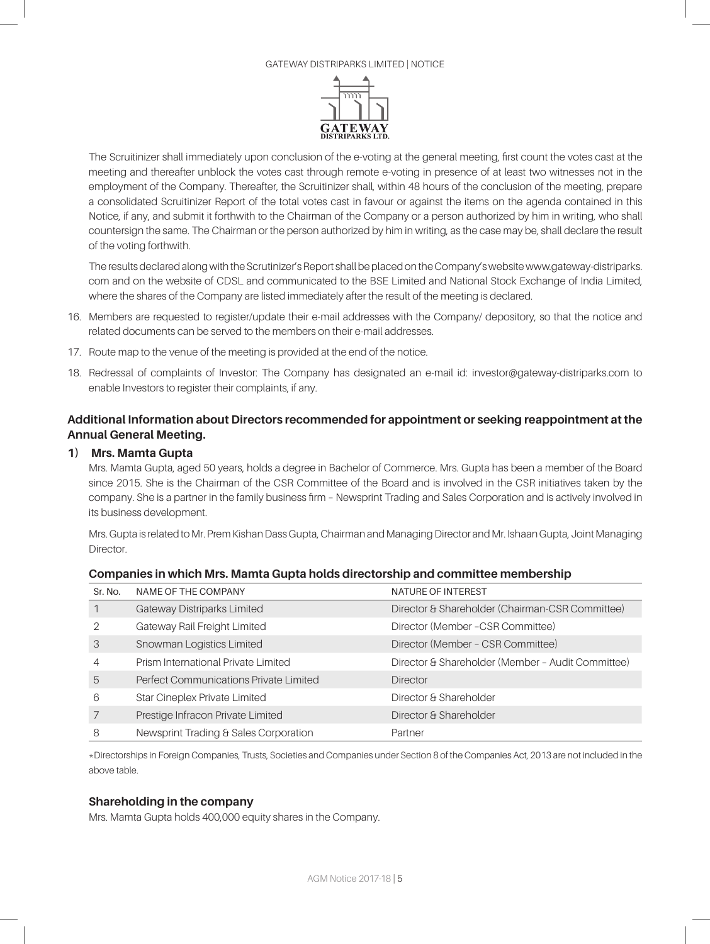#### Gateway distriparks Limited | NOTICE



The Scruitinizer shall immediately upon conclusion of the e-voting at the general meeting, first count the votes cast at the meeting and thereafter unblock the votes cast through remote e-voting in presence of at least two witnesses not in the employment of the Company. Thereafter, the Scruitinizer shall, within 48 hours of the conclusion of the meeting, prepare a consolidated Scruitinizer Report of the total votes cast in favour or against the items on the agenda contained in this Notice, if any, and submit it forthwith to the Chairman of the Company or a person authorized by him in writing, who shall countersign the same. The Chairman or the person authorized by him in writing, as the case may be, shall declare the result of the voting forthwith.

The results declared along with the Scrutinizer's Report shall be placed on the Company's website www.gateway-distriparks. com and on the website of CDSL and communicated to the BSE Limited and National Stock Exchange of India Limited, where the shares of the Company are listed immediately after the result of the meeting is declared.

- 16. Members are requested to register/update their e-mail addresses with the Company/ depository, so that the notice and related documents can be served to the members on their e-mail addresses.
- 17. Route map to the venue of the meeting is provided at the end of the notice.
- 18. Redressal of complaints of Investor: The Company has designated an e-mail id: investor@gateway-distriparks.com to enable Investors to register their complaints, if any.

# **Additional Information about Directors recommended for appointment or seeking reappointment at the Annual General Meeting.**

### **1) Mrs. Mamta Gupta**

Mrs. Mamta Gupta, aged 50 years, holds a degree in Bachelor of Commerce. Mrs. Gupta has been a member of the Board since 2015. She is the Chairman of the CSR Committee of the Board and is involved in the CSR initiatives taken by the company. She is a partner in the family business firm – Newsprint Trading and Sales Corporation and is actively involved in its business development.

Mrs. Gupta is related to Mr. Prem Kishan Dass Gupta, Chairman and Managing Director and Mr. Ishaan Gupta, Joint Managing **Director** 

| Sr. No. | NAME OF THE COMPANY                    | NATURE OF INTEREST                                |
|---------|----------------------------------------|---------------------------------------------------|
|         | Gateway Distriparks Limited            | Director & Shareholder (Chairman-CSR Committee)   |
|         | Gateway Rail Freight Limited           | Director (Member - CSR Committee)                 |
| 3       | Snowman Logistics Limited              | Director (Member - CSR Committee)                 |
| 4       | Prism International Private Limited    | Director & Shareholder (Member - Audit Committee) |
| 5       | Perfect Communications Private Limited | <b>Director</b>                                   |
| 6       | Star Cineplex Private Limited          | Director & Shareholder                            |
|         | Prestige Infracon Private Limited      | Director & Shareholder                            |
| 8       | Newsprint Trading & Sales Corporation  | Partner                                           |

### **Companies in which Mrs. Mamta Gupta holds directorship and committee membership**

\*Directorships in Foreign Companies, Trusts, Societies and Companies under Section 8 of the Companies Act, 2013 are not included in the above table.

### **Shareholding in the company**

Mrs. Mamta Gupta holds 400,000 equity shares in the Company.